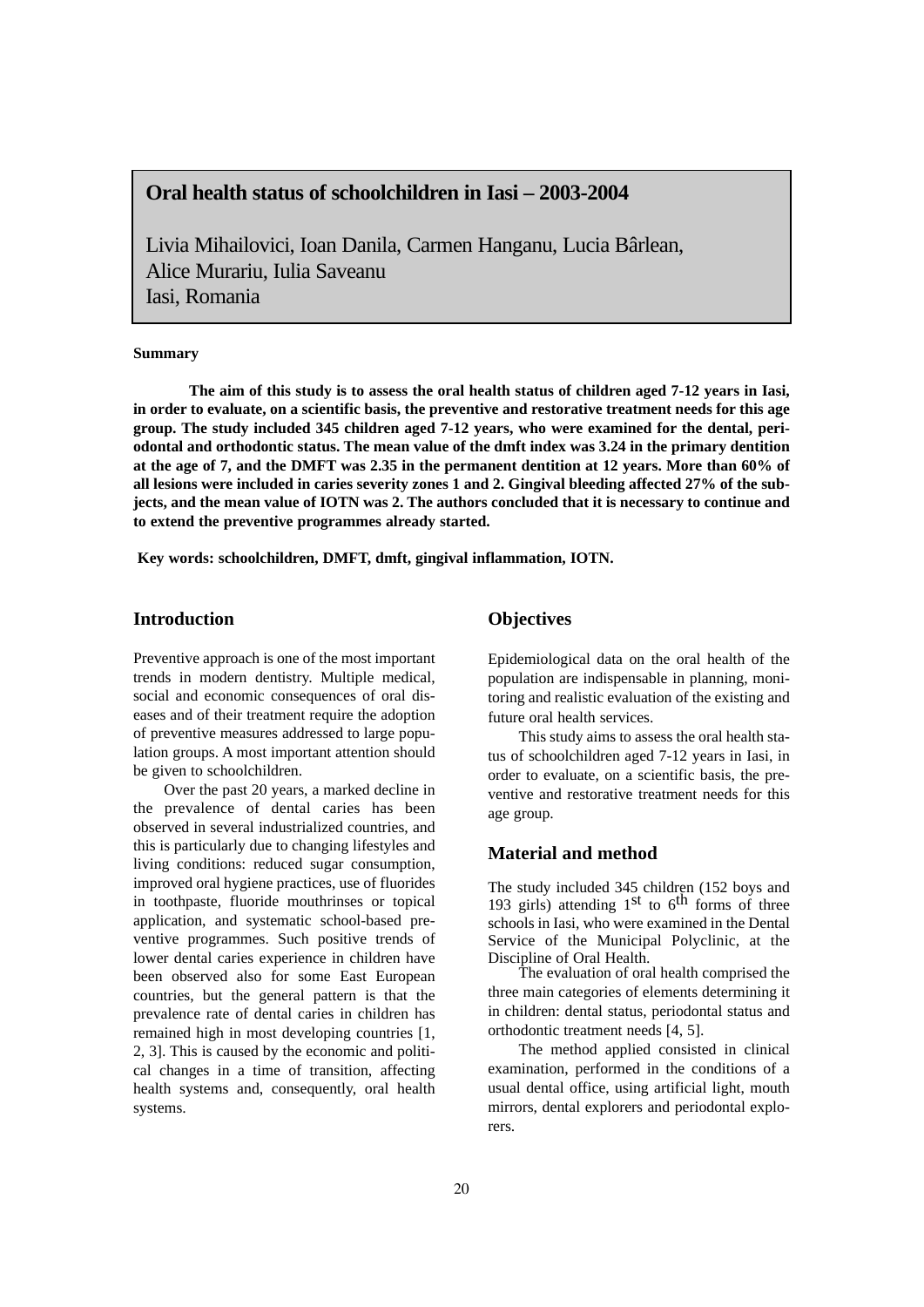# **Oral health status of schoolchildren in Iasi – 2003-2004**

Livia Mihailovici, Ioan Danila, Carmen Hanganu, Lucia Bârlean, Alice Murariu, Iulia Saveanu Iasi, Romania

#### **Summary**

**The aim of this study is to assess the oral health status of children aged 7-12 years in Iasi, in order to evaluate, on a scientific basis, the preventive and restorative treatment needs for this age group. The study included 345 children aged 7-12 years, who were examined for the dental, periodontal and orthodontic status. The mean value of the dmft index was 3.24 in the primary dentition at the age of 7, and the DMFT was 2.35 in the permanent dentition at 12 years. More than 60% of all lesions were included in caries severity zones 1 and 2. Gingival bleeding affected 27% of the subjects, and the mean value of IOTN was 2. The authors concluded that it is necessary to continue and to extend the preventive programmes already started.**

**Key words: schoolchildren, DMFT, dmft, gingival inflammation, IOTN.**

## **Introduction**

Preventive approach is one of the most important trends in modern dentistry. Multiple medical, social and economic consequences of oral diseases and of their treatment require the adoption of preventive measures addressed to large population groups. A most important attention should be given to schoolchildren.

Over the past 20 years, a marked decline in the prevalence of dental caries has been observed in several industrialized countries, and this is particularly due to changing lifestyles and living conditions: reduced sugar consumption, improved oral hygiene practices, use of fluorides in toothpaste, fluoride mouthrinses or topical application, and systematic school-based preventive programmes. Such positive trends of lower dental caries experience in children have been observed also for some East European countries, but the general pattern is that the prevalence rate of dental caries in children has remained high in most developing countries [1, 2, 3]. This is caused by the economic and political changes in a time of transition, affecting health systems and, consequently, oral health systems.

# **Objectives**

Epidemiological data on the oral health of the population are indispensable in planning, monitoring and realistic evaluation of the existing and future oral health services.

This study aims to assess the oral health status of schoolchildren aged 7-12 years in Iasi, in order to evaluate, on a scientific basis, the preventive and restorative treatment needs for this age group.

## **Material and method**

The study included 345 children (152 boys and 193 girls) attending  $1<sup>st</sup>$  to  $6<sup>th</sup>$  forms of three schools in Iasi, who were examined in the Dental Service of the Municipal Polyclinic, at the Discipline of Oral Health.

The evaluation of oral health comprised the three main categories of elements determining it in children: dental status, periodontal status and orthodontic treatment needs [4, 5].

The method applied consisted in clinical examination, performed in the conditions of a usual dental office, using artificial light, mouth mirrors, dental explorers and periodontal explorers.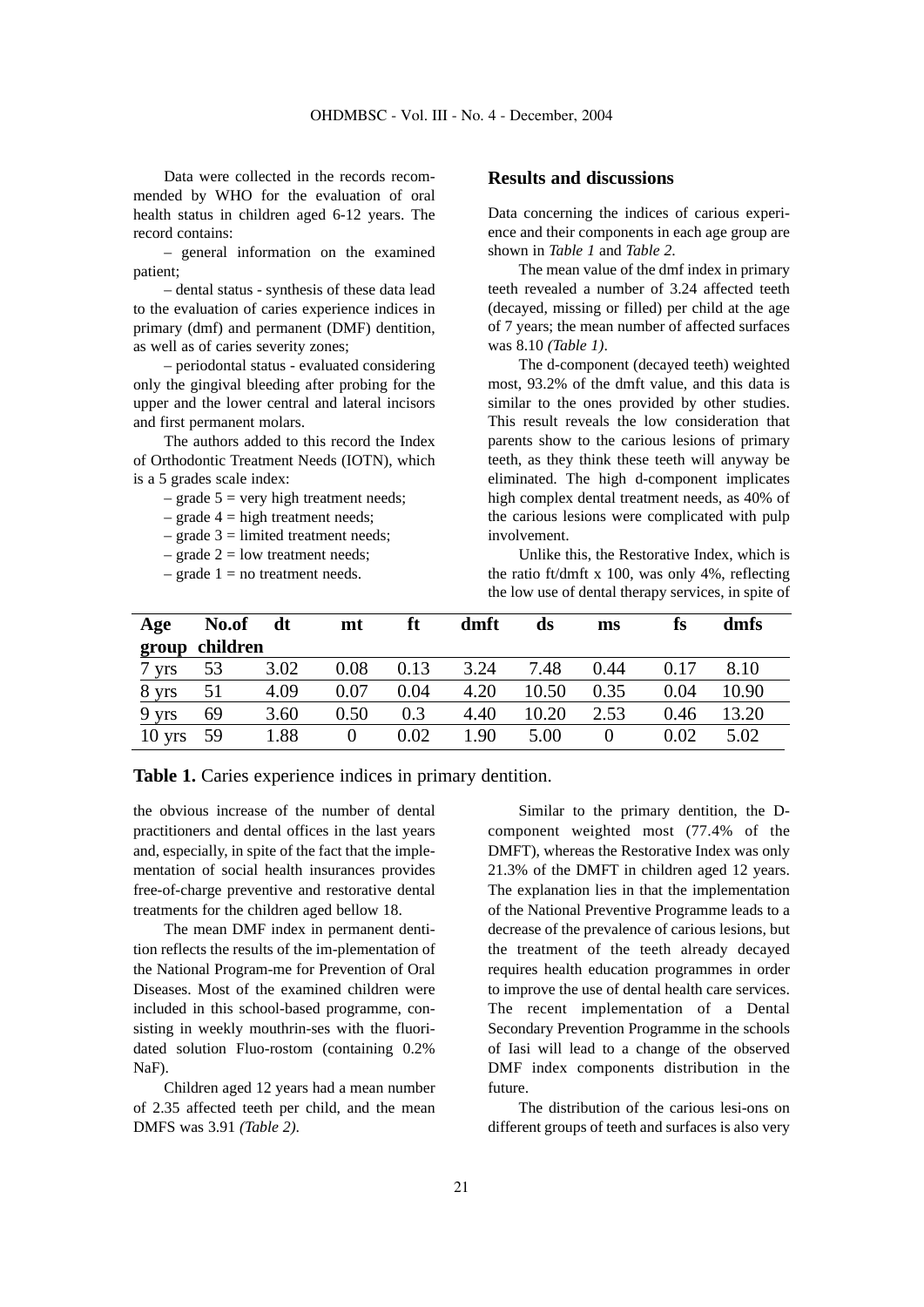Data were collected in the records recommended by WHO for the evaluation of oral health status in children aged 6-12 years. The record contains:

– general information on the examined patient;

– dental status - synthesis of these data lead to the evaluation of caries experience indices in primary (dmf) and permanent (DMF) dentition, as well as of caries severity zones;

– periodontal status - evaluated considering only the gingival bleeding after probing for the upper and the lower central and lateral incisors and first permanent molars.

The authors added to this record the Index of Orthodontic Treatment Needs (IOTN), which is a 5 grades scale index:

 $-$  grade  $5$  = very high treatment needs;

- $-$  grade  $4 =$  high treatment needs;
- grade  $3 =$  limited treatment needs;
- grade  $2 =$  low treatment needs;
- $-$  grade  $1 =$  no treatment needs.

### **Results and discussions**

Data concerning the indices of carious experience and their components in each age group are shown in *Table 1* and *Table 2*.

The mean value of the dmf index in primary teeth revealed a number of 3.24 affected teeth (decayed, missing or filled) per child at the age of 7 years; the mean number of affected surfaces was 8.10 *(Table 1)*.

The d-component (decayed teeth) weighted most, 93.2% of the dmft value, and this data is similar to the ones provided by other studies. This result reveals the low consideration that parents show to the carious lesions of primary teeth, as they think these teeth will anyway be eliminated. The high d-component implicates high complex dental treatment needs, as 40% of the carious lesions were complicated with pulp involvement.

Unlike this, the Restorative Index, which is the ratio ft/dmft x 100, was only 4%, reflecting the low use of dental therapy services, in spite of

| Age      | No.of    | dt   | mt       | ft   | dmft | ds    | ms       | fs   | dmfs  |  |
|----------|----------|------|----------|------|------|-------|----------|------|-------|--|
| group    | children |      |          |      |      |       |          |      |       |  |
| 7 yrs    | 53       | 3.02 | 0.08     | 0.13 | 3.24 | 7.48  | 0.44     | 0.17 | 8.10  |  |
| 8 yrs    | 51       | 4.09 | 0.07     | 0.04 | 4.20 | 10.50 | 0.35     | 0.04 | 10.90 |  |
| 9 yrs    | 69       | 3.60 | 0.50     | 0.3  | 4.40 | 10.20 | 2.53     | 0.46 | 13.20 |  |
| $10$ yrs | 59       | 1.88 | $\Omega$ | 0.02 | 1.90 | 5.00  | $\theta$ | 0.02 | 5.02  |  |

**Table 1.** Caries experience indices in primary dentition.

the obvious increase of the number of dental practitioners and dental offices in the last years and, especially, in spite of the fact that the implementation of social health insurances provides free-of-charge preventive and restorative dental treatments for the children aged bellow 18.

The mean DMF index in permanent dentition reflects the results of the im-plementation of the National Program-me for Prevention of Oral Diseases. Most of the examined children were included in this school-based programme, consisting in weekly mouthrin-ses with the fluoridated solution Fluo-rostom (containing 0.2% NaF).

Children aged 12 years had a mean number of 2.35 affected teeth per child, and the mean DMFS was 3.91 *(Table 2)*.

Similar to the primary dentition, the Dcomponent weighted most (77.4% of the DMFT), whereas the Restorative Index was only 21.3% of the DMFT in children aged 12 years. The explanation lies in that the implementation of the National Preventive Programme leads to a decrease of the prevalence of carious lesions, but the treatment of the teeth already decayed requires health education programmes in order to improve the use of dental health care services. The recent implementation of a Dental Secondary Prevention Programme in the schools of Iasi will lead to a change of the observed DMF index components distribution in the future.

The distribution of the carious lesi-ons on different groups of teeth and surfaces is also very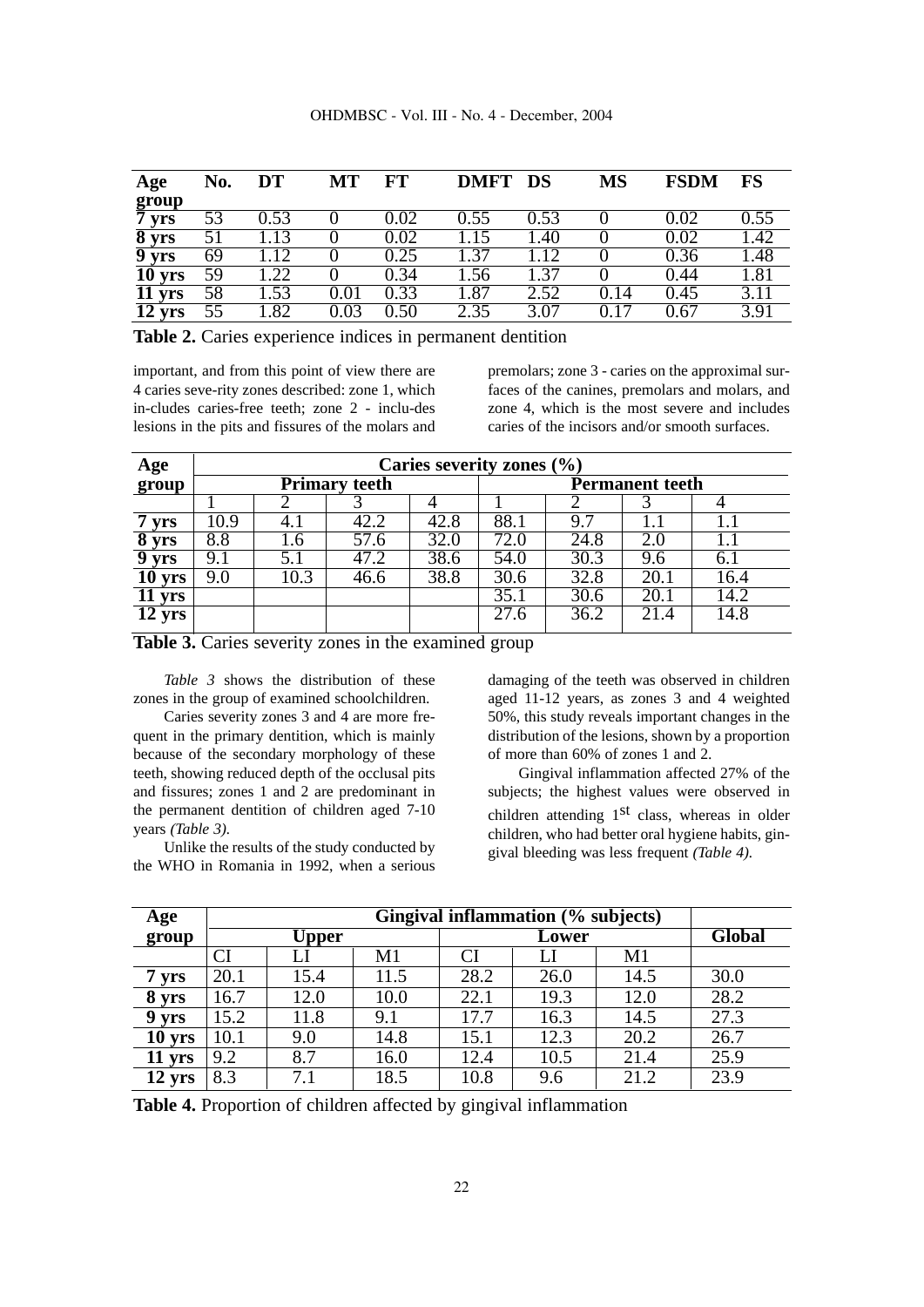| Age                         | No. | DT   | MT       | FT   | <b>DMFT</b>       | DS   | <b>MS</b> | <b>FSDM</b> | <b>FS</b>         |
|-----------------------------|-----|------|----------|------|-------------------|------|-----------|-------------|-------------------|
| group                       |     |      |          |      |                   |      |           |             |                   |
| 7 yrs                       | 53  | 0.53 |          | 0.02 | 0.55              | 0.53 |           | 0.02        | 0.55              |
| 8 yrs                       |     |      |          | 0.02 | .15               | .40  |           | 0.02        | 1.42              |
| 9 yrs                       | 69  | L 12 |          | 0.25 | .37               | 12   |           | 0.36        | 1.48              |
| $\overline{10 \text{ yrs}}$ | 59  | .22  |          | 0.34 | .56               | .37  |           | 0.44        | $\overline{1.81}$ |
| 11 yrs                      | 58  | 1.53 | $0.01\,$ | 0.33 | $\overline{1.87}$ | 2.52 | 0.14      | 0.45        | 3.11              |
| $\overline{12}$ yrs         | 55  | 1.82 | 0.03     | 0.50 | 2.35              | 3.07 | 0.17      | 0.67        | 3.91              |

**Table 2.** Caries experience indices in permanent dentition

important, and from this point of view there are 4 caries seve-rity zones described: zone 1, which in-cludes caries-free teeth; zone 2 - inclu-des lesions in the pits and fissures of the molars and premolars; zone 3 - caries on the approximal surfaces of the canines, premolars and molars, and zone 4, which is the most severe and includes caries of the incisors and/or smooth surfaces.

| Age        | Caries severity zones $(\%$ |      |      |      |      |                        |      |      |  |  |
|------------|-----------------------------|------|------|------|------|------------------------|------|------|--|--|
| group      | <b>Primary teeth</b>        |      |      |      |      | <b>Permanent teeth</b> |      |      |  |  |
|            |                             |      |      |      |      |                        |      |      |  |  |
| <b>vrs</b> | $\overline{10.9}$           | 4. I | 42.2 | 42.8 | 88.1 | 9.7                    |      |      |  |  |
| 8 yrs      | 8.8                         | 1.6  | 57.6 | 32.0 | 72.0 | 24.8                   |      |      |  |  |
| <b>vrs</b> | 9.1                         | 5.1  | 47.2 | 38.6 | 54.0 | 30.3                   | 9.6  | 6.1  |  |  |
| 10 yrs     | 9.0                         | 10.3 | 46.6 | 38.8 | 30.6 | 32.8                   | 20.1 | 16.4 |  |  |
| yrs        |                             |      |      |      | 35.1 | 30.6                   | 20.1 | 14.2 |  |  |
| 12 yrs     |                             |      |      |      | 27.6 | 36.2                   | 21.4 | 14.8 |  |  |
|            |                             |      |      |      |      |                        |      |      |  |  |

**Table 3.** Caries severity zones in the examined group

*Table 3* shows the distribution of these zones in the group of examined schoolchildren.

Caries severity zones 3 and 4 are more frequent in the primary dentition, which is mainly because of the secondary morphology of these teeth, showing reduced depth of the occlusal pits and fissures; zones 1 and 2 are predominant in the permanent dentition of children aged 7-10 years *(Table 3).*

Unlike the results of the study conducted by the WHO in Romania in 1992, when a serious damaging of the teeth was observed in children aged 11-12 years, as zones 3 and 4 weighted 50%, this study reveals important changes in the distribution of the lesions, shown by a proportion of more than 60% of zones 1 and 2.

Gingival inflammation affected 27% of the subjects; the highest values were observed in children attending  $1<sup>st</sup>$  class, whereas in older children, who had better oral hygiene habits, gingival bleeding was less frequent *(Table 4).*

| Age      | Gingival inflammation (% subjects) |       |      |      |               |      |      |  |  |  |  |
|----------|------------------------------------|-------|------|------|---------------|------|------|--|--|--|--|
| group    |                                    | Upper |      |      | <b>Global</b> |      |      |  |  |  |  |
|          | <b>CI</b>                          |       | M1   | CI   |               | M1   |      |  |  |  |  |
| 7 yrs    | 20.1                               | 15.4  | 11.5 | 28.2 | 26.0          | 14.5 | 30.0 |  |  |  |  |
| 8 yrs    | 16.7                               | 12.0  | 10.0 | 22.1 | 19.3          | 12.0 | 28.2 |  |  |  |  |
| 9 yrs    | 15.2                               | 11.8  | 9.1  | 17.7 | 16.3          | 14.5 | 27.3 |  |  |  |  |
| $10$ yrs | 10.1                               | 9.0   | 14.8 | 15.1 | 12.3          | 20.2 | 26.7 |  |  |  |  |
| 11 yrs   | 9.2                                | 8.7   | 16.0 | 12.4 | 10.5          | 21.4 | 25.9 |  |  |  |  |
| $12$ yrs | 8.3                                | 7.1   | 18.5 | 10.8 | 9.6           | 21.2 | 23.9 |  |  |  |  |

**Table 4.** Proportion of children affected by gingival inflammation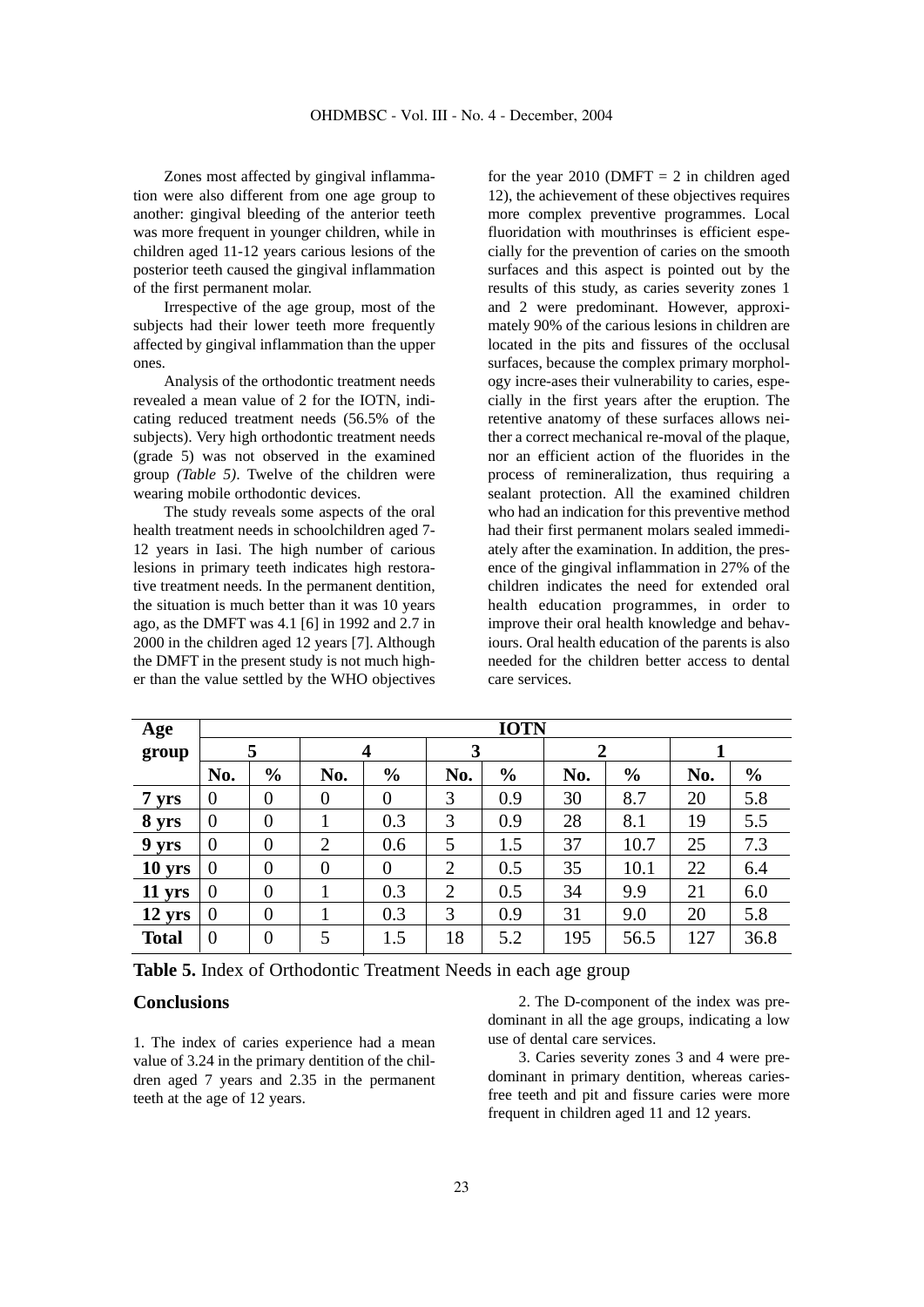Zones most affected by gingival inflammation were also different from one age group to another: gingival bleeding of the anterior teeth was more frequent in younger children, while in children aged 11-12 years carious lesions of the posterior teeth caused the gingival inflammation of the first permanent molar.

Irrespective of the age group, most of the subjects had their lower teeth more frequently affected by gingival inflammation than the upper ones.

Analysis of the orthodontic treatment needs revealed a mean value of 2 for the IOTN, indicating reduced treatment needs (56.5% of the subjects). Very high orthodontic treatment needs (grade 5) was not observed in the examined group *(Table 5)*. Twelve of the children were wearing mobile orthodontic devices.

The study reveals some aspects of the oral health treatment needs in schoolchildren aged 7- 12 years in Iasi. The high number of carious lesions in primary teeth indicates high restorative treatment needs. In the permanent dentition, the situation is much better than it was 10 years ago, as the DMFT was 4.1 [6] in 1992 and 2.7 in 2000 in the children aged 12 years [7]. Although the DMFT in the present study is not much higher than the value settled by the WHO objectives for the year 2010 (DMFT  $= 2$  in children aged 12), the achievement of these objectives requires more complex preventive programmes. Local fluoridation with mouthrinses is efficient especially for the prevention of caries on the smooth surfaces and this aspect is pointed out by the results of this study, as caries severity zones 1 and 2 were predominant. However, approximately 90% of the carious lesions in children are located in the pits and fissures of the occlusal surfaces, because the complex primary morphology incre-ases their vulnerability to caries, especially in the first years after the eruption. The retentive anatomy of these surfaces allows neither a correct mechanical re-moval of the plaque, nor an efficient action of the fluorides in the process of remineralization, thus requiring a sealant protection. All the examined children who had an indication for this preventive method had their first permanent molars sealed immediately after the examination. In addition, the presence of the gingival inflammation in 27% of the children indicates the need for extended oral health education programmes, in order to improve their oral health knowledge and behaviours. Oral health education of the parents is also needed for the children better access to dental care services.

| Age          | <b>IOTN</b>    |                |                |                |                |               |     |               |     |                |
|--------------|----------------|----------------|----------------|----------------|----------------|---------------|-----|---------------|-----|----------------|
| group        | 5              |                |                | 4              |                | 3             |     | 2             |     |                |
|              | No.            | $\frac{6}{6}$  | No.            | $\frac{6}{6}$  | No.            | $\frac{6}{6}$ | No. | $\frac{6}{6}$ | No. | $\frac{6}{10}$ |
| 7 yrs        | $\overline{0}$ | $\overline{0}$ | $\overline{0}$ | $\overline{0}$ | 3              | 0.9           | 30  | 8.7           | 20  | 5.8            |
| 8 yrs        | $\overline{0}$ | $\overline{0}$ |                | 0.3            | 3              | 0.9           | 28  | 8.1           | 19  | 5.5            |
| 9 yrs        | $\theta$       | $\overline{0}$ | $\overline{2}$ | 0.6            | 5              | 1.5           | 37  | 10.7          | 25  | 7.3            |
| 10 yrs       | $\overline{0}$ | $\overline{0}$ | $\overline{0}$ | $\overline{0}$ | $\overline{2}$ | 0.5           | 35  | 10.1          | 22  | 6.4            |
| 11 yrs       | $\theta$       | $\overline{0}$ |                | 0.3            | $\overline{2}$ | 0.5           | 34  | 9.9           | 21  | 6.0            |
| 12 yrs       | $\theta$       | $\overline{0}$ |                | 0.3            | 3              | 0.9           | 31  | 9.0           | 20  | 5.8            |
| <b>Total</b> | $\overline{0}$ | $\overline{0}$ | 5              | 1.5            | 18             | 5.2           | 195 | 56.5          | 127 | 36.8           |

**Table 5.** Index of Orthodontic Treatment Needs in each age group

# **Conclusions**

1. The index of caries experience had a mean value of 3.24 in the primary dentition of the children aged 7 years and 2.35 in the permanent teeth at the age of 12 years.

2. The D-component of the index was predominant in all the age groups, indicating a low use of dental care services.

3. Caries severity zones 3 and 4 were predominant in primary dentition, whereas cariesfree teeth and pit and fissure caries were more frequent in children aged 11 and 12 years.